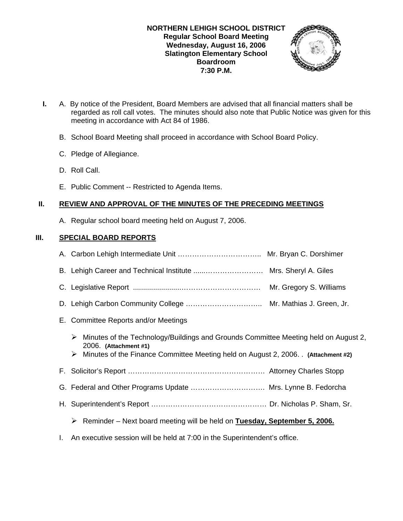#### **NORTHERN LEHIGH SCHOOL DISTRICT Regular School Board Meeting Wednesday, August 16, 2006 Slatington Elementary School Boardroom 7:30 P.M.**



- **I.** A. By notice of the President, Board Members are advised that all financial matters shall be regarded as roll call votes. The minutes should also note that Public Notice was given for this meeting in accordance with Act 84 of 1986.
	- B. School Board Meeting shall proceed in accordance with School Board Policy.
	- C. Pledge of Allegiance.
	- D. Roll Call.
	- E. Public Comment -- Restricted to Agenda Items.

# **II. REVIEW AND APPROVAL OF THE MINUTES OF THE PRECEDING MEETINGS**

A. Regular school board meeting held on August 7, 2006.

# **III. SPECIAL BOARD REPORTS**

| B. Lehigh Career and Technical Institute  Mrs. Sheryl A. Giles                                                                                                                                             |  |
|------------------------------------------------------------------------------------------------------------------------------------------------------------------------------------------------------------|--|
|                                                                                                                                                                                                            |  |
|                                                                                                                                                                                                            |  |
| E. Committee Reports and/or Meetings                                                                                                                                                                       |  |
| Minutes of the Technology/Buildings and Grounds Committee Meeting held on August 2,<br>➤<br>2006. (Attachment #1)<br>Minutes of the Finance Committee Meeting held on August 2, 2006. (Attachment #2)<br>➤ |  |
|                                                                                                                                                                                                            |  |
|                                                                                                                                                                                                            |  |
| G. Federal and Other Programs Update  Mrs. Lynne B. Fedorcha                                                                                                                                               |  |
|                                                                                                                                                                                                            |  |
| Reminder – Next board meeting will be held on Tuesday, September 5, 2006.<br>➤                                                                                                                             |  |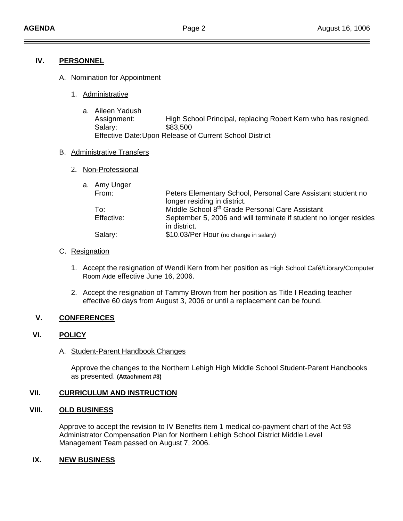# **IV. PERSONNEL**

#### A. Nomination for Appointment

- 1. Administrative
	- a. Aileen Yadush Assignment: High School Principal, replacing Robert Kern who has resigned. Salary: \$83,500 Effective Date: Upon Release of Current School District

#### B. Administrative Transfers

2. Non-Professional

|  | a. Amy Unger |                                                                   |
|--|--------------|-------------------------------------------------------------------|
|  | From:        | Peters Elementary School, Personal Care Assistant student no      |
|  |              | longer residing in district.                                      |
|  | To:          | Middle School 8 <sup>th</sup> Grade Personal Care Assistant       |
|  | Effective:   | September 5, 2006 and will terminate if student no longer resides |
|  |              | in district.                                                      |
|  | Salary:      | \$10.03/Per Hour (no change in salary)                            |

#### C. Resignation

- 1. Accept the resignation of Wendi Kern from her position as High School Café/Library/Computer Room Aide effective June 16, 2006.
- 2. Accept the resignation of Tammy Brown from her position as Title I Reading teacher effective 60 days from August 3, 2006 or until a replacement can be found.

# **V. CONFERENCES**

# **VI. POLICY**

A. Student-Parent Handbook Changes

 Approve the changes to the Northern Lehigh High Middle School Student-Parent Handbooks as presented. **(Attachment #3)** 

# **VII. CURRICULUM AND INSTRUCTION**

# **VIII. OLD BUSINESS**

 Approve to accept the revision to IV Benefits item 1 medical co-payment chart of the Act 93 Administrator Compensation Plan for Northern Lehigh School District Middle Level Management Team passed on August 7, 2006.

# **IX. NEW BUSINESS**